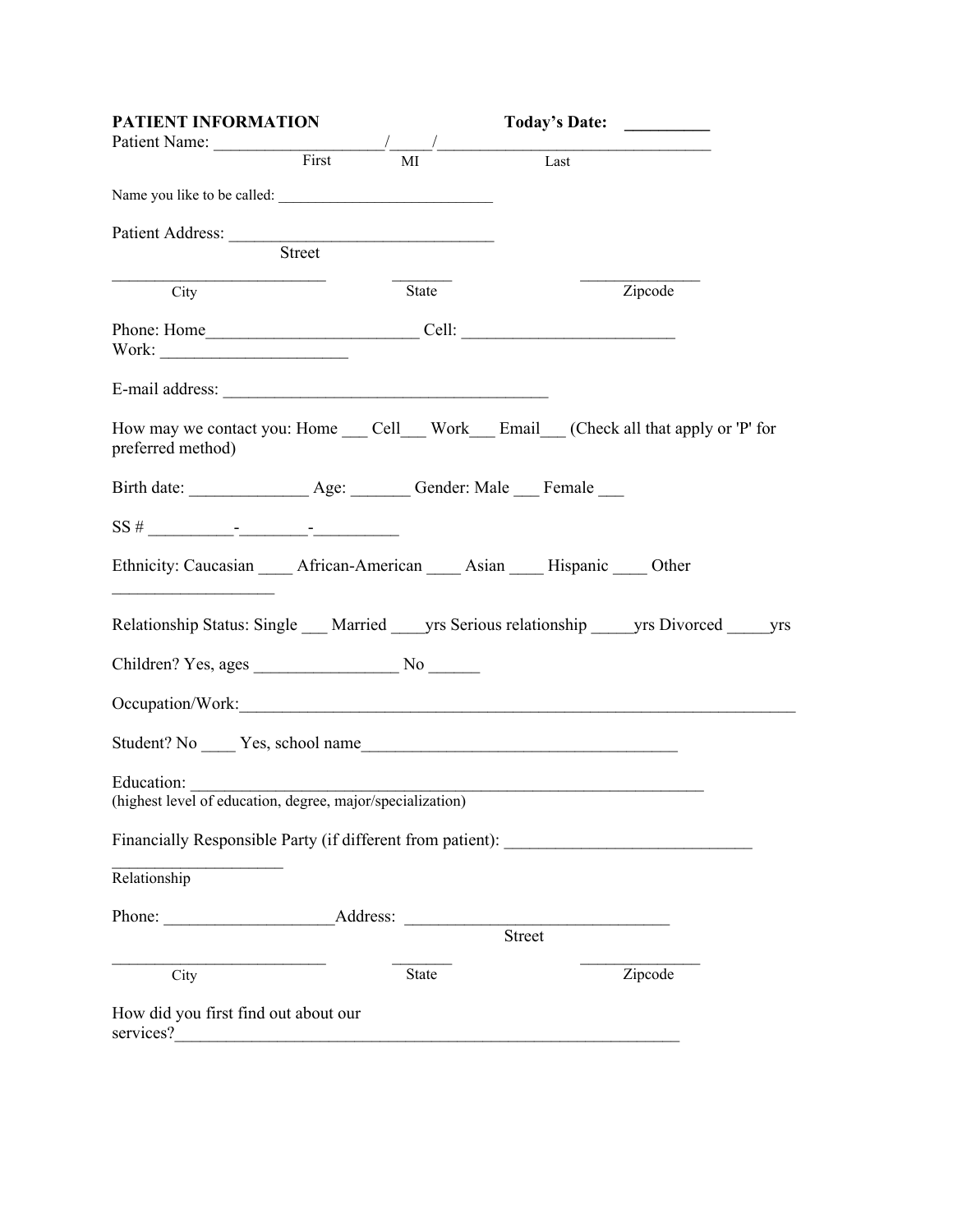| PATIENT INFORMATION                                                                                |              | Today's Date: |         |
|----------------------------------------------------------------------------------------------------|--------------|---------------|---------|
| Patient Name: First                                                                                | MI           | Last          |         |
| Name you like to be called:                                                                        |              |               |         |
|                                                                                                    |              |               |         |
| Patient Address: Street                                                                            |              |               |         |
| City                                                                                               | State        |               | Zipcode |
|                                                                                                    |              |               |         |
|                                                                                                    |              |               |         |
| How may we contact you: Home Cell Work Email (Check all that apply or 'P' for<br>preferred method) |              |               |         |
|                                                                                                    |              |               |         |
| $SS#$ - - - - -                                                                                    |              |               |         |
| Ethnicity: Caucasian _____ African-American _____ Asian _____ Hispanic _____ Other                 |              |               |         |
| Relationship Status: Single __ Married __ yrs Serious relationship ___ yrs Divorced ___ yrs        |              |               |         |
|                                                                                                    |              |               |         |
| Occupation/Work:                                                                                   |              |               |         |
|                                                                                                    |              |               |         |
| Education:<br>(highest level of education, degree, major/specialization)                           |              |               |         |
| Financially Responsible Party (if different from patient):                                         |              |               |         |
| Relationship                                                                                       |              |               |         |
| Phone: Address:                                                                                    |              | Street        |         |
| City                                                                                               | <b>State</b> |               | Zipcode |
| How did you first find out about our<br>services?                                                  |              |               |         |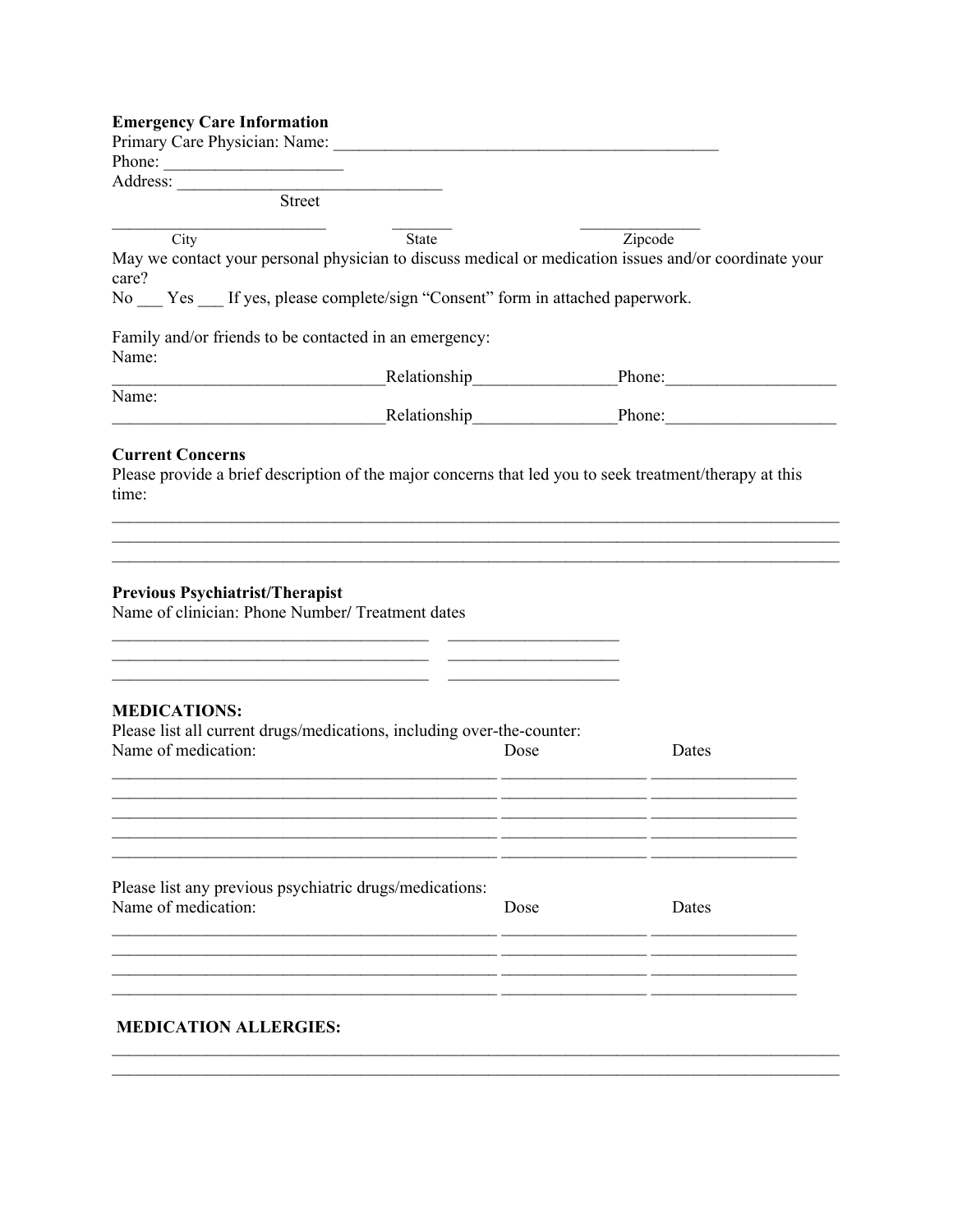## **Emergency Care Information**

| Primary Care Physician: Name:                                                                                                                                                                                                  |      |         |
|--------------------------------------------------------------------------------------------------------------------------------------------------------------------------------------------------------------------------------|------|---------|
| Phone:                                                                                                                                                                                                                         |      |         |
| Street                                                                                                                                                                                                                         |      |         |
|                                                                                                                                                                                                                                |      |         |
| State<br>City<br>May we contact your personal physician to discuss medical or medication issues and/or coordinate your<br>care?<br>No ___ Yes ___ If yes, please complete/sign "Consent" form in attached paperwork.           |      | Zipcode |
| Family and/or friends to be contacted in an emergency:<br>Name:                                                                                                                                                                |      |         |
| Relationship expansion of the set of the set of the set of the set of the set of the set of the set of the set of the set of the set of the set of the set of the set of the set of the set of the set of the set of the set o |      | Phone:  |
| Name:<br>Relationship                                                                                                                                                                                                          |      | Phone:  |
| <b>Current Concerns</b><br>Please provide a brief description of the major concerns that led you to seek treatment/therapy at this<br>time:                                                                                    |      |         |
| <b>Previous Psychiatrist/Therapist</b><br>Name of clinician: Phone Number/ Treatment dates                                                                                                                                     |      |         |
| <b>MEDICATIONS:</b><br>Please list all current drugs/medications, including over-the-counter:<br>Name of medication:                                                                                                           | Dose | Dates   |
| Please list any previous psychiatric drugs/medications:<br>Name of medication:                                                                                                                                                 | Dose | Dates   |
|                                                                                                                                                                                                                                |      |         |

## **MEDICATION ALLERGIES:**